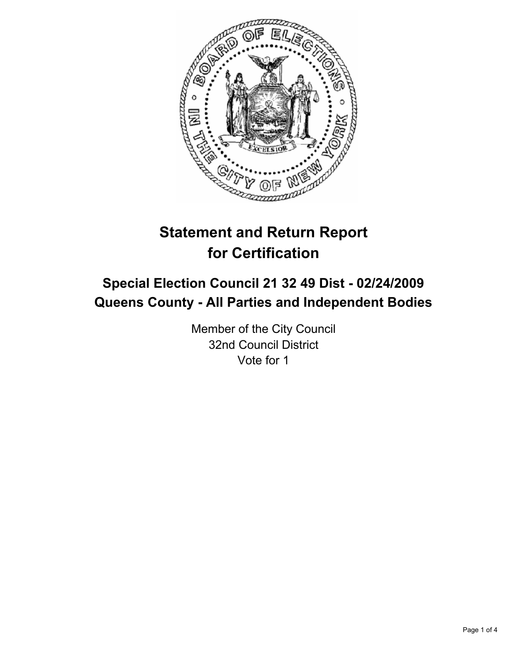

# **Statement and Return Report for Certification**

## **Special Election Council 21 32 49 Dist - 02/24/2009 Queens County - All Parties and Independent Bodies**

Member of the City Council 32nd Council District Vote for 1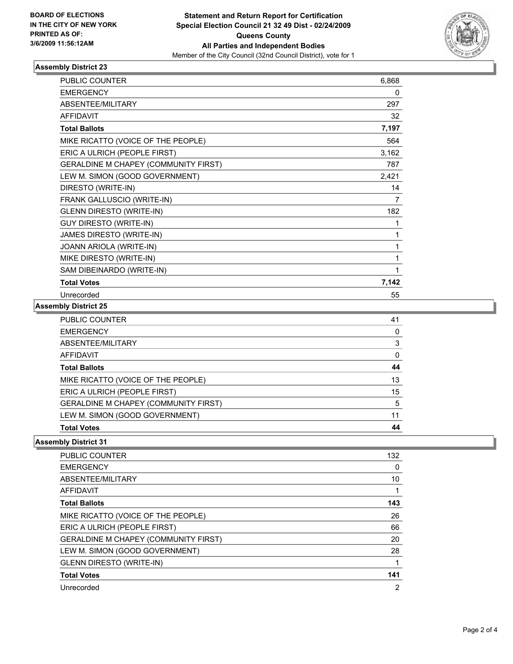

## **Assembly District 23**

| <b>PUBLIC COUNTER</b>                | 6,868 |
|--------------------------------------|-------|
| <b>EMERGENCY</b>                     | 0     |
| <b>ABSENTEE/MILITARY</b>             | 297   |
| <b>AFFIDAVIT</b>                     | 32    |
| <b>Total Ballots</b>                 | 7,197 |
| MIKE RICATTO (VOICE OF THE PEOPLE)   | 564   |
| ERIC A ULRICH (PEOPLE FIRST)         | 3,162 |
| GERALDINE M CHAPEY (COMMUNITY FIRST) | 787   |
| LEW M. SIMON (GOOD GOVERNMENT)       | 2,421 |
| DIRESTO (WRITE-IN)                   | 14    |
| FRANK GALLUSCIO (WRITE-IN)           | 7     |
| <b>GLENN DIRESTO (WRITE-IN)</b>      | 182   |
| <b>GUY DIRESTO (WRITE-IN)</b>        | 1     |
| JAMES DIRESTO (WRITE-IN)             |       |
| JOANN ARIOLA (WRITE-IN)              |       |
| MIKE DIRESTO (WRITE-IN)              |       |
| SAM DIBEINARDO (WRITE-IN)            |       |
| <b>Total Votes</b>                   | 7,142 |
| Unrecorded                           | 55    |

## **Assembly District 25**

| PUBLIC COUNTER                              | 41 |
|---------------------------------------------|----|
| <b>EMERGENCY</b>                            |    |
| ABSENTEE/MILITARY                           |    |
| AFFIDAVIT                                   |    |
| <b>Total Ballots</b>                        | 44 |
| MIKE RICATTO (VOICE OF THE PEOPLE)          | 13 |
| ERIC A ULRICH (PEOPLE FIRST)                | 15 |
| <b>GERALDINE M CHAPEY (COMMUNITY FIRST)</b> | 5  |
| LEW M. SIMON (GOOD GOVERNMENT)              |    |
| <b>Total Votes</b>                          | 44 |
|                                             |    |

#### **Assembly District 31**

| <b>PUBLIC COUNTER</b>                       | 132 |
|---------------------------------------------|-----|
| <b>EMERGENCY</b>                            |     |
| ABSENTEE/MILITARY                           | 10  |
| AFFIDAVIT                                   |     |
| <b>Total Ballots</b>                        | 143 |
| MIKE RICATTO (VOICE OF THE PEOPLE)          | 26  |
| ERIC A ULRICH (PEOPLE FIRST)                | 66  |
| <b>GERALDINE M CHAPEY (COMMUNITY FIRST)</b> | 20  |
| LEW M. SIMON (GOOD GOVERNMENT)              | 28  |
| <b>GLENN DIRESTO (WRITE-IN)</b>             |     |
| <b>Total Votes</b>                          | 141 |
| Unrecorded                                  | 2   |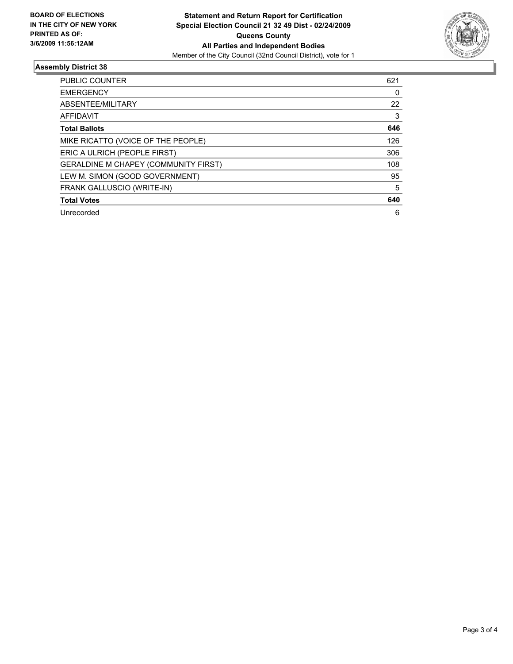

## **Assembly District 38**

| PUBLIC COUNTER                       | 621 |
|--------------------------------------|-----|
| <b>EMERGENCY</b>                     | 0   |
| ABSENTEE/MILITARY                    | 22  |
| AFFIDAVIT                            | 3   |
| <b>Total Ballots</b>                 | 646 |
| MIKE RICATTO (VOICE OF THE PEOPLE)   | 126 |
| ERIC A ULRICH (PEOPLE FIRST)         | 306 |
| GERALDINE M CHAPEY (COMMUNITY FIRST) | 108 |
| LEW M. SIMON (GOOD GOVERNMENT)       | 95  |
| FRANK GALLUSCIO (WRITE-IN)           | 5   |
| <b>Total Votes</b>                   | 640 |
| Unrecorded                           | 6   |